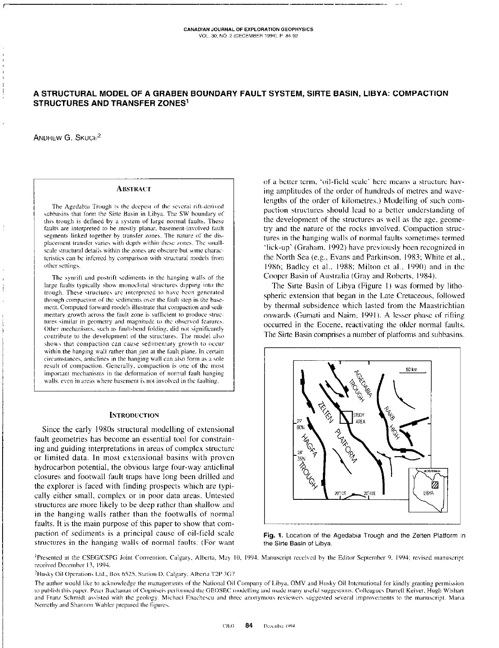# A STRUCTURAL MODEL OF A GRABEN BOUNDARY FAULT SYSTEM, SIRTE BASIN, LIBYA: COMPACTION **STRUCTURES AND TRANSFER ZONES1**

ANDREW G. SKUCE<sup>2</sup>

## **ABSTRACT**

The Agedabia Trough is the deepest of the several rift-derived subbasins that form the Sirte Basin in Libya. The SW boundary of this trough is defined by a system of large normal faults. These faults are interpreted to be mostly planar, basement-involved fault segments linked together by transfer zones. The nature of the displacement transfer varies with depth within these zones. The smallscale structural details within the zones are obscure but some characteristics can be inferred by comparison with structural models from other settings.

The synrift and postrift sediments in the hanging walls of the large faults typically show monoclinal structures dipping into the trough. These structures are interpreted to have been generated through compaction of the sediments over the fault step in the basement. Computed forward models illustrate that compaction and sedimentary growth across the fault zone is sufficient to produce structures similar in geometry and magnitude to the observed features. Other mechanisms, such as fault-bend folding, did not significantly contribute to the development of the structures. The model also shows that compaction can cause sedimentary growth to occur within the hanging wall rather than just at the fault plane. In certain circumstances, anticlines in the hanging wall can also form as a sole result of compaction. Generally, compaction is one of the most important mechanisms in the deformation of normal fault hanging walls, even in areas where basement is not involved in the faulting.

#### **INTRODUCTION**

Since the early 1980s structural modelling of extensional fault geometries has become an essential tool for constraining and guiding interpretations in areas of complex structure or limited data. In most extensional basins with proven hydrocarbon potential, the obvious large four-way anticlinal closures and footwall fault traps have long been drilled and the explorer is faced with finding prospects which are typically either small, complex or in poor data areas. Untested structures are more likely to be deep rather than shallow and in the hanging walls rather than the footwalls of normal faults. It is the main purpose of this paper to show that compaction of sediments is a principal cause of oil-field scale structures in the hanging walls of normal faults. (For want of a better term, 'oil-field scale' here means a structure having amplitudes of the order of hundreds of metres and wavelengths of the order of kilometres.) Modelling of such compaction structures should lead to a better understanding of the development of the structures as well as the age, geometry and the nature of the rocks involved. Compaction structures in the hanging walls of normal faults sometimes termed 'lick-up' (Graham, 1992) have previously been recognized in the North Sea (e.g., Evans and Parkinson, 1983; White et al., 1986; Badley et al., 1988; Milton et al., 1990) and in the Cooper Basin of Australia (Gray and Roberts, 1984).

The Sirte Basin of Libya (Figure 1) was formed by lithospheric extension that began in the Late Cretaceous, followed by thermal subsidence which lasted from the Maastrichtian onwards (Gumati and Nairn, 1991). A lesser phase of rifting occurred in the Eocene, reactivating the older normal faults. The Sirte Basin comprises a number of platforms and subbasins.



Fig. 1. Location of the Agedabia Trough and the Zelten Platform in the Sirte Basin of Libya.

<sup>1</sup>Presented at the CSEG/CSPG Joint Convention, Calgary, Alberta, May 10, 1994. Manuscript received by the Editor September 9, 1994; revised manuscript received December 13, 1994.

<sup>2</sup>Husky Oil Operations Ltd., Box 6525, Station D, Calgary, Alberta T2P 3G7

The author would like to acknowledge the managements of the National Oil Company of Libya, OMV and Husky Oil International for kindly granting permission to publish this paper. Peter Buchanan of Cogniscis performed the GEOSEC modelling and made many useful suggestions. Colleagues Darrell Keiver, Hugh Wishart and Franz Schmidt assisted with the geology. Michael Enachescu and three anonymous reviewers suggested several improvements to the manuscript. Maria Nemethy and Shannon Wahler prepared the figures.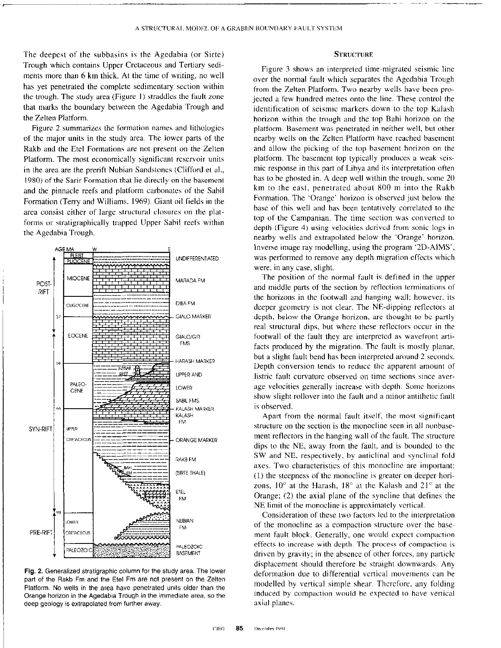The deepest of the subbasins is the Agedahia (or Sirte) Trough which contains Upper Cretaceous and Tertiary sediments more than 6 km thick. At the time of writing, no well has yet penetrated the complete sedimentary section within the trough. The study area (Figure I) straddles the fault zone that marks the boundary between the Agedahia Trough and the Zelten Platform.

Figure 2 summarizes the formation names and lithologics of the major units in the study area. The lower parts of the Rakh and the Etcl Formations are not present on the Zelten Platform. The most economically significant reservoir units in the area are the prerift Nubian Sandstones (Clifford et al., 1980) of the Sarir Formation that lie directly on the hasemcnt and the pinnacle reefs and platform carbonates of the Sabil Formation (Terry and Williams. 1969). Giant oil fields in the area consist either of large structural closures on the platforms or stratigraphically trapped Upper Sabil reefs within the Agedahia Trough.



Fig. 2. Generalized stratigraphic column for the study area. The lower part of the Rakb Fm and the Etel Fm are not present on the Zelten Platform. No wells in the area have penetrated units older than the Orange horizon in the Agedabia Trough in the immediate area, so the deep geology is extrapolated from further away.

## **STRUCTURE**

Figure 3 shows an interpreted time-migrated seismic line over the normal fault which separates the Agedahia Trough from the Zelten Platform. Two nearby wells have been projected a few hundred metres onto the line. These control the identification of seismic markers down to the top Kalash horizon within the trough and the top Bahi horizon on the platform. Basement was penetrated in neither well, but other nearby wells on the Zelten Platform have reached basement and allow the picking of the top basement horizon on the platform. The basement top typically produces a weak seismic response in this part of Libya and its interpretation often has to be ghosted in. A deep well within the trough, some 20 km to the east, penetrated about 800 m into the Rakh Formation. The 'Orange' horizon is observed just below the hasc of this well and has heen tentatively correlated to the top of the Campanian. The time section was converted to depth (Figure 4) using velocities dcrivcd from sonic logs in nearby wells and extrapolated helow the 'Orange' horizon. Inverse image ray modelling, using the program '2D-AIMS', was performed to remove any depth migration effects which were. in any case, slight.

The position of the normal fault is defined in the upper and middle parts of the section by reflection terminations of the horizons in the footwall and hanging wall: however. its deeper geometry is not clear. The NE-dipping reflectors at depth, below the Orange horizon, are thought to be partly real structural dips, hut where these retlcctors occur in the footwall of the fault they are interpreted as wavefront artifacts produced by the migration. The fault is mostly planar, hut a slight fault bend has been interpreted around 2 seconds. Depth conversion tends to rcducc the apparent amounr of listric fault curvature observed on time sections since average velocities generally increase with depth. Some horizons show slight rollover into the fault and a minor antithetic fault is observed.

Apart from the normal fault itself, the most significant structure on the section is the monocline seen in all nonbasement reflectors in the hanging wall of the fault. The structure dips to the NE, away from the fault, and is hounded to the SW and NE. respectively, by anticlinal and synclinal fold axes. Two characteristics of this monocline are important: (1) the steepness of the monocline is greater on deeper horizons,  $10^{\circ}$  at the Harash,  $18^{\circ}$  at the Kalash and  $21^{\circ}$  at the Orange; (2) the axial plane of the syncline that defines the NE limit of the monocline is approximately vertical.

Consideration of these two factors Icd to the interpretation of the monocline as a compaction structure over the hasement fault block. Generally, one would expect compaction effects to increase with depth. The process of compaction is driven by gravity: in the absence of other forces. any particle displacement should therefore be straight downwards. Any deformation due to differential vertical movements can be modelled by vertical simple shear. Therefore, any folding induced by compaction would he expected to have vertical axial planes.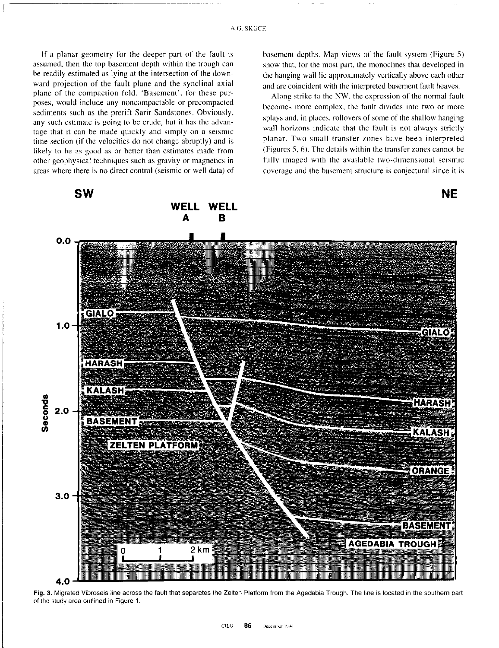If a planar geometry for the deeper part of the fault is assumed, then the top basement depth within the trough can be readily estimated as lying at the intersection of the downward projection of the fault plane and the synclinal axial plane of the compaction fold. 'Basement', for these purposes, would include any noncompactable or precompacted sediments such as the prerift Sarir Sandstones. Obviously. any such estimate is going to be crude, but it has the advantage that it can he made quickly and simply on a seismic time section (if the velocities do not change abruptly) and is likely to be as good as or better than estimates made from other geophysical techniques such as gravity or magnetics in areas where there is no direct control (seismic or well data) of basement depths. Map views of the fault system (Figure 5) show that, for the most part, the monoclines that developed in the hanging wall lie approximately vertically above each other and are coincident with the interpreted basement fault heaves.

Along strike to the NW, the expression of the normal fault hecomes more complex, the fault divides into two or more splays and, in places, rollovers of some of the shallow hanging wall horizons indicate that the fault is not always strictly planar. Two small transfer zones have been interpreted (Figures  $5, 6$ ). The details within the transfer zones cannot be fully imaged with the available two-dimensional seismic coverage and the basement structure is conjectural since it is

SW NE **WELL** в 0.0 GIALO 1.0 **GIALO** HARASH KALASH Seconds **HARASH** 2.0 **BASEMENT KALASH ZELTEN PLATFORM** ORANGI 3.0 **BASEMENT AGEDABIA TROUGH**  $2 km$ 



Fig. 3. Migrated Vibroseis line across the fault that separates the Zelten Platform from the Agedabia Trough. The line is located in the southern part of the study area outlined in Figure 1.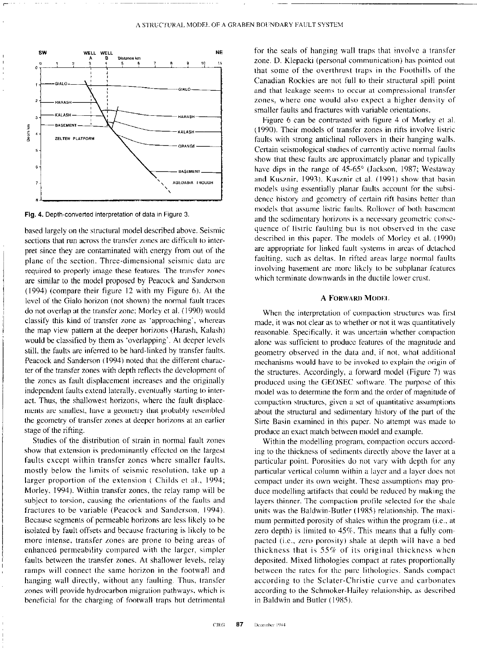project to the second contract of the component construction and contract the contract of the contract of the c



Fig. 4. Depth-converted interpretation of data in Figure 3.

based largely on the structural model described above. Seismic sections that run across the transfer zones are difficult to interpret since they are contaminated with energy from out of the plane of the section. Three-dimensional seismic data arc required to properly image these fatures. The transfer zones are similar to the model proposed by Peacock and Sanderson (1994) (compare their figure I2 with my Figure 6). At the level of the Gialo horizon (not shown) the normal fault traces do not overlap at the transfer zone; Morley et al. (1990) would classify this kind of transfer zone as 'approaching', whereas the map view pattern at the deeper horizons (Harash, Kalash) would he classified by them as 'overlapping'. At deeper levels still. the faults arc inferred to he hard-linked by transfer faults. Peacock and Sanderson (1994) noted that the different character of the transfer zones with depth reflects the devclopmcnt of the zones as fault displacement increases and the originally indcpendcnt faults extend laterally, eventually starting to interact. Thus, the shallowest horizons, where the fault displacements are smallest, have a geometry that probably resembled the geometry 01 transfer zones at deeper horizons at an earlier stage of the rifting.

Studies of the distribution of strain in normal fault zones show that extension is predominantly cffcctcd on the largest faults cxccpt within transfer zones where smaller faults. mostly below the limits of seismic resolution. take up a larger proportion of the extension ( Childs et al., 1994; Morley. 1994). Within transfer zones, the relay ramp will he subject to torsion, causing the orientations of the faults and fractures to he variable (Peacock and Sanderson, 1994). Because segments of permeable horizons are less likely to he isolated by fault offsets and because fracturing is likely to he more intense, transfer zones are prone to being areas of enhanced permeability compared with the larger, simpler faults between the transfer zones. At shallower levels, relay ramps will connect the same horizon in the footwall and hanging wall directly, without any faulting. Thus, transfer zones will provide hydrocarbon migration pathways. which is beneficial for the charging of footwall traps hut detrimental

for the seals of hanging wall traps that involve a transfer zone. D. Klepacki (personal communication) has pointed out that some of the overthrust traps in the Foothills of the Canadian Rockies are not full to their structural spill point and that leakage seems to occur at compressional transfer zones, where one would also expect a higher density of smaller faults and fractures with variable orientations.

Figure 6 can he contrasted with figure 4 of Morley et al. (1990). Their models of transfer zones in rifts involve listric faults with strong anticlinal rollovers in their hanging walls. Certain seismological studies of currently active normal faults show that these faults arc approximately planar and typically have dips in the range of  $45-65^{\circ}$  (Jackson, 1987; Westaway and Kusznir, 1993). Kusznir et al. (1991) show that basin models using essentially planar faults account for the subsidencc history and geometry of certain rift basins better than models that assume listric faults. Rollwcr of both bascmcnt and the sedimentary horizons is a necessary geometric consequence of listric faulting but is not observed in the case dcscrihcd in this paper. The models of Morley et al. (1990) are appropriate for linked fault systems in areas of detached faulting, such as deltas. In rifted areas large normal faults involving basement arc more likely to he subplanar features which terminate downwards in the ductile lower crust.

### A FORWARD MODEL

When the interpretation of compaction structures was first made, it was not clear as to whether or not it was quantiratively reasonable. Specifically. it was uncertain whether compaction alone was sufficient to produce features of the magnitude and geometry observed in the data and, if not, what additional mechanisms would have to be invoked to explain the origin of the structures. Accordingly, a forward model (Figure 7) was produced using the GEOSEC software. The purpose of this model was to determine the form and the order of magnitude of compaction slructurcs, given a set of quantitative assumptions about the structural and sedimentary history of the part of the Sirte Basin examined in this paper. No attempt was made to produce an exact match between model and example.

Within the modelling program, compaction occurs according to the thickness of sediments directly above the layer at a particular point. Porosities do not vary with depth for any particular vertical column within a layer and a layer does not compact under its own weight. These assumptions may produce modelling artifacts that could be reduced by making the layers thinner. The compaction profile selected for the shale units was the Baldwin-Butler (1985) relationship. The maximum permitted porosity of shales within the program (i.e., at zero depth) is limited to  $45\%$ . This means that a fully compacted (i.e., zero porosity) shale at depth will have a bed thickness that is 55% of its original thickness when deposited. Mixed lithologies compact at rates proportionally between the rates for the pure lithologics. Sands compact according to the Sclater-Christie curve and carbonates according to the Schmoker-Hailey relationship, as described in Baldwin and Butler (1985).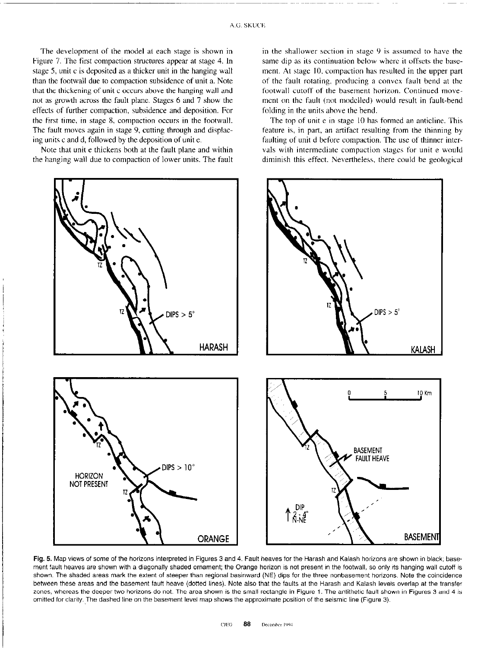The development of the model at each stage is shown in Figure 7. The first compaction structures appear at stage 4. In stage 5, unit c is deposited as a thicker unit in the hanging wall than the footwall due to compaction subsidence of unit a. Note that the thickening of unit c occurs above the hanging wall and not as growth across the fault plane. Stages 6 and 7 show the effects of further compaction, subsidence and deposition. For the first time, in stage 8, compaction occurs in the footwall. The fault moves again in stage 9, cutting through and displacing units c and d, followed by the deposition of unite.

Note that unit e thickens both at the fault plane and within the hanging wall due to compaction of lower units. The fault in the shallower section in stage  $9$  is assumed to have the same dip as its continuation below where it offsets the hasement. At stage IO. compaction has resulted in the upper part of the fault rotating, producing a convex fault bend at the footwall cutoff of the basement horizon. Continued movemcnt on the fault (not modelled) would result in fault-bend folding in the units ahove the bend.

The top of unit e in stage IO has formed an anticline. This feature is, in part, an artifact resulting from the thinning by faulting of unit d before compaction. The use of thinner intervals with intermediate compaction stages for unit e would diminish this effect. Nevertheless, there could he geological



Fig. 5. Map views of some of the horizons interpreted in Figures 3 and 4. Fault heaves for the Harash and Kalash horizons are shown in black; basement fault heaves are shown with a diagonally shaded ornament; the Orange horizon is not present in the footwall, so only its hanging wall cutotf is shown. The shaded areas mark the extent of steeper than regional basinward (NE) dips for the three nonbasement horizons. Note the coincidence between these areas and the basement fault heave (dotted lines). Note also that the faults at the Harash and Kalash levels overlap at the transfer zones, whereas the deeper two horizons do not. The area shown is the small rectangle in Figure 1. The antithetic fault shown in Figures 3 and 4 is omitted for clarity. The dashed line on the basement level map shows the approximate position of the seismic line (Figure 3).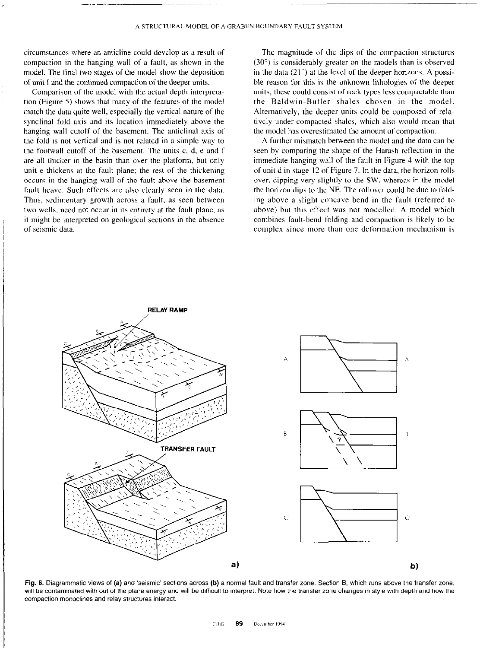circumstances where an anticline could devclop as a result of compaction in the hanging wall of a fault, as shown in the model. The final two stages of the model show the deposition of unit f and the continued compaction of the deeper units.

Comparison of the model with the actual depth interpretation (Figure 5) shows that many of the features of the model match the data quite well, especially the vertical nature of the synclinal fold axis and its location immediately above the hanging wall cutoff of the basement. The anticlinal axis of the fold is not vertical and is not related in a simple way to the footwall cutoff of the basement. The units c, d. e and I' are all thicker in the basin than over the platform. but only unit e thickens at the fault plane: the rest of the thickening occurs in the hanging wall of the fault above the basement fault heave. Such effects are also clearly seen in the data. Thus, sedimentary growth across a fault, as seen between two wells, need not occur in its entirety at the faull plane, as it might be interpreted on geological sections in the absence of seismic data.

The magnitude of the dips of the compaction structures  $(30^{\circ})$  is considerably greater on the models than is observed in the data  $(21^{\circ})$  at the level of the deeper horizons. A possible reason for this is the unknown lithologies of the deeper units; these could consist of rock types less compactable than the Baldwin-Butler shales chosen in the model. Alternatively, the deeper units could he composed of relativcly under-compacted shales, which also would mean that the model has overestimated the amount of compaction.

A further mismatch between the model and the data can he seen by comparing the shape of the Harash retlection in the immediate hanging wall of the fault in Figure 4 with the top of unit d in stage 12 of Figure 7. In the data, the horizon rolls over. dipping very slightly to the SW. whereas in the model the horizon dips to the NE. The rollover could be due to folding above a slight concave bend in the fault (referred to above) but this effect was not modelled. A model which combines fault-bend folding and compaction is likely to be complex since more than one deformation mechanism is



Fig. 6. Diagrammatic views of (a) and 'seismic' sections across (b) a normal fault and transfer zone. Section B, which runs above the transfer zone, will be contaminated with out of the plane energy and will be difficult to interpret. Note how the transfer zone changes in style with depth and how the compaction monoclines and relay structures interact.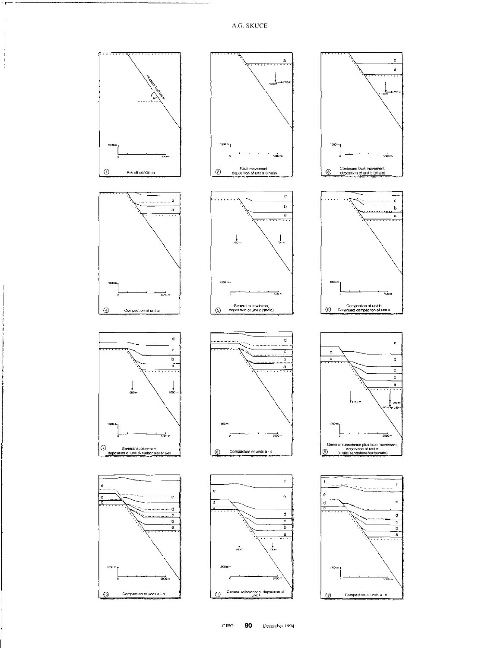$\bar{1}$ 

 $\mathbf{I}$ 



90  $\mathbf{C}\mathbf{I}\mathbf{E}\mathbf{G}$ December 1994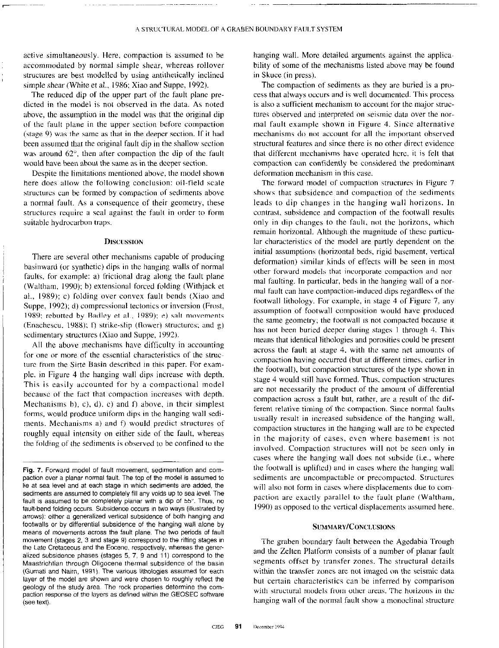active simultaneously. Here, compaction is assumed to he accommodated by normal simple shear. whereas rollover structures are hest modelled by using antithetically inclined simple shear (White et al., 1986; Xiao and Suppe, 1992).

The reduced dip of the upper part of the fault plane predieted in the model is not observed in the data. As noted above, the assumption in the model was that the original dip of the fault plane in the upper section before compaction (stage 9) was the same as that in the deeper section. If it had been assumed that the original fault dip in the shallow section was around 62<sup>°</sup>, then after compaction the dip of the fault would have been about the sane as in the deeper section.

Despite the limitations mentioned above, the model shown here does allow the following conclusion: oil-field scale structures can be formed by compaction of sediments above a normal fault. As a consequence of their geometry, these structures require a seal against the fault in order to form suitable hydrocarbon traps.

## **DISCUSSION**

There are several other mechanisms capable of producing hasinward (or synthetic) dips in the hanging walls of normal faults. for example: a) frictional drag along the fault plane (Waltham, 1990); b) extensional forced folding (Withjack et al., 1989); c) folding over convex fault bends (Xiao and Suppe, 1992); d) compressional tectonics or inversion (Frost, 1989; rebutted by Badley et al.. 1989); e) salt movements (Enachescu, 1988); f) strike-slip (flower) structures; and g) sedimentary structures (Xiao and Suppe, 1992).

All the above mechanisms have difficulty in accounting for one or more of the essential characteristics of the structure from the Sirte Basin described in this paper. For example, in Figure 4 the hanging wall dips increase with depth. This is easily accounted for by a compactional model because of the fact that compaction increases with depth. Mechanisms b), c), d), e) and  $f$ ) above, in their simplest forms, would produce uniform dips in the hanging wall sediments. Mechanisms a) and f) would predict structures of roughly equal intensity on either side of the fault, whereas the folding of the sediments is observed to be confined to the

hanging wall. More detailed arguments against the applicability of some of the mechanisms listed above may be found in Skuce (in press).

The compaction of sediments as they are buried is a process that always occurs and is well documented. This process is also a sufficient mechanism to account for the major structures observed and interpreted on seismic data over the normal fault example shown in Figure 4. Since alternative mechanisms do not account for all the important observed structural features and since there is no other direct evidence that different mechanisms have operated here, it is felt that compaction can confidently he considered the predominant deformation mechanism in this case.

The forward model of compaction structures in Figure 7 shows that subsidence and compaction of the sediments leads to dip changes in the hanging wall horizons. In contrast, subsidence and compaction of the footwall results only in dip changes to the fault, not the horizons, which remain horizontal. Although the magnitude of these particular characteristics of the model are partly dependent on the initial assumptions (horizontal beds, rigid basement, vertical deformation) similar kinds of effects will be seen in most other forward models that incorporate compaction and normal faulting. In particular, beds in the hanging wall of a normal fault can have compaction-induced dips regardless of the footwall lithology. For example, in stage 4 of Figure 7, any assumption of footwall composition would have produced the same geometry; the footwall is not compacted because it has not been buried deeper during stages I through 4. This means that identical lithologies and porosities could he present across the fault at stage 4, with the same net amounts of compaction having occurred (hut at different times, earlier in the footwall), hut compaction structures of the type shown in stage 4 would still have formed. Thus. compaction structures arc not necessarily the product of the amount of differential compaction across a fault hut, rather, are a result of the different relative timing of the compaction. Since normal faults usually result in increased subsidence of the hanging wall, compaction structures in the hanging wall are to be expected in the majority of cases, cvcn where basement is not involved. Compaction structures will not be seen only in cases where the hanging wall does not subside (i.e., where the footwall is uplifted) and in cases where the hanging wall sediments are uncompactable or precompactcd. Structures will also not form in cases where displacements due to compaction are exactly parallel to the fault plane (Waltham, 1990) as opposed to the vertical displacements assumed here.

### SUMMARY/CONCLUSIONS

The graben boundary fault between the Agedabia Trough and the Zelten Platform consists of a number of planar fault segments offset by transfer zones. The structural details within the transfer zones are not imaged on the seismic data hut certain characteristics can he inferred by comparison with structural models from other areas. The horizons in the hanging wall of the normal fault show a monoclinal structure

Fig. 7. Forward model of fault movement, sedimentation and compaction over a planar normal fault. The top of the model is assumed to lie at sea level and at each stage in which sediments are added, the sediments are assumed to completely fill any voids up to sea level. The fault is assumed to be completely planar with a dip of 55". Thus, no fault-bend folding occurs. Subsidence occurs in two ways (illustrated by arrows): either a generalized vertical subsidence of both hanging and footwalls or by differential subsidence of the hanging wall alone by means of movements across the fault plane. The two periods of fault movement (stages 2, 3 and stage 9) correspond to the rifting stages in the Late Cretaceous and the Eocene, respectively, whereas the generalired subsidence phases (stages 5. 7. 9 and 11) correspond to the Maastrichtian through Oligocene thermal subsidence of the basin (Gumati and Nairn, 1991). The various lithologies assumed for each layer of the model are shown and were chosen to roughly reflect the geology of the study area. The rock properties determine the compaction response of the layers as defined within the GEOSEC software (see text).